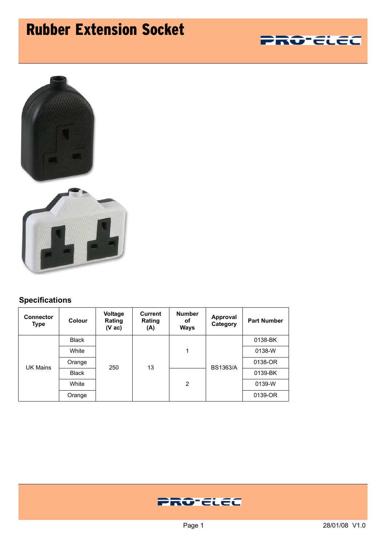# Rubber Extension Socket





### **Specifications**

| <b>Connector</b><br><b>Type</b> | Colour       | Voltage<br>Rating<br>$(V$ ac) | <b>Current</b><br>Rating<br>(A) | <b>Number</b><br>оf<br><b>Ways</b> | <b>Approval</b><br>Category | <b>Part Number</b> |
|---------------------------------|--------------|-------------------------------|---------------------------------|------------------------------------|-----------------------------|--------------------|
| UK Mains                        | <b>Black</b> | 250                           | 13                              | 1                                  | <b>BS1363/A</b>             | 0138-BK            |
|                                 | White        |                               |                                 |                                    |                             | 0138-W             |
|                                 | Orange       |                               |                                 |                                    |                             | 0138-OR            |
|                                 | <b>Black</b> |                               |                                 | 2                                  |                             | 0139-BK            |
|                                 | White        |                               |                                 |                                    |                             | 0139-W             |
|                                 | Orange       |                               |                                 |                                    |                             | 0139-OR            |